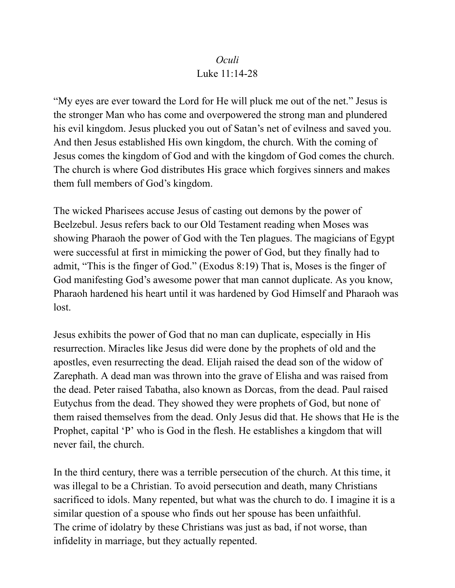## *Oculi* Luke 11:14-28

"My eyes are ever toward the Lord for He will pluck me out of the net." Jesus is the stronger Man who has come and overpowered the strong man and plundered his evil kingdom. Jesus plucked you out of Satan's net of evilness and saved you. And then Jesus established His own kingdom, the church. With the coming of Jesus comes the kingdom of God and with the kingdom of God comes the church. The church is where God distributes His grace which forgives sinners and makes them full members of God's kingdom.

The wicked Pharisees accuse Jesus of casting out demons by the power of Beelzebul. Jesus refers back to our Old Testament reading when Moses was showing Pharaoh the power of God with the Ten plagues. The magicians of Egypt were successful at first in mimicking the power of God, but they finally had to admit, "This is the finger of God." (Exodus 8:19) That is, Moses is the finger of God manifesting God's awesome power that man cannot duplicate. As you know, Pharaoh hardened his heart until it was hardened by God Himself and Pharaoh was lost.

Jesus exhibits the power of God that no man can duplicate, especially in His resurrection. Miracles like Jesus did were done by the prophets of old and the apostles, even resurrecting the dead. Elijah raised the dead son of the widow of Zarephath. A dead man was thrown into the grave of Elisha and was raised from the dead. Peter raised Tabatha, also known as Dorcas, from the dead. Paul raised Eutychus from the dead. They showed they were prophets of God, but none of them raised themselves from the dead. Only Jesus did that. He shows that He is the Prophet, capital 'P' who is God in the flesh. He establishes a kingdom that will never fail, the church.

In the third century, there was a terrible persecution of the church. At this time, it was illegal to be a Christian. To avoid persecution and death, many Christians sacrificed to idols. Many repented, but what was the church to do. I imagine it is a similar question of a spouse who finds out her spouse has been unfaithful. The crime of idolatry by these Christians was just as bad, if not worse, than infidelity in marriage, but they actually repented.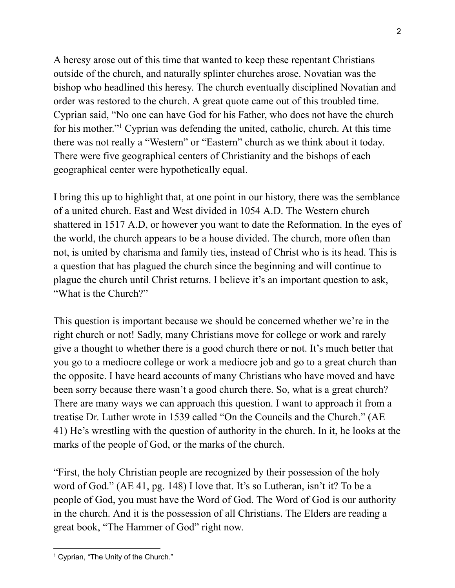A heresy arose out of this time that wanted to keep these repentant Christians outside of the church, and naturally splinter churches arose. Novatian was the bishop who headlined this heresy. The church eventually disciplined Novatian and order was restored to the church. A great quote came out of this troubled time. Cyprian said, "No one can have God for his Father, who does not have the church for his mother." <sup>1</sup> Cyprian was defending the united, catholic, church. At this time there was not really a "Western" or "Eastern" church as we think about it today. There were five geographical centers of Christianity and the bishops of each geographical center were hypothetically equal.

I bring this up to highlight that, at one point in our history, there was the semblance of a united church. East and West divided in 1054 A.D. The Western church shattered in 1517 A.D, or however you want to date the Reformation. In the eyes of the world, the church appears to be a house divided. The church, more often than not, is united by charisma and family ties, instead of Christ who is its head. This is a question that has plagued the church since the beginning and will continue to plague the church until Christ returns. I believe it's an important question to ask, "What is the Church?"

This question is important because we should be concerned whether we're in the right church or not! Sadly, many Christians move for college or work and rarely give a thought to whether there is a good church there or not. It's much better that you go to a mediocre college or work a mediocre job and go to a great church than the opposite. I have heard accounts of many Christians who have moved and have been sorry because there wasn't a good church there. So, what is a great church? There are many ways we can approach this question. I want to approach it from a treatise Dr. Luther wrote in 1539 called "On the Councils and the Church." (AE 41) He's wrestling with the question of authority in the church. In it, he looks at the marks of the people of God, or the marks of the church.

"First, the holy Christian people are recognized by their possession of the holy word of God." (AE 41, pg. 148) I love that. It's so Lutheran, isn't it? To be a people of God, you must have the Word of God. The Word of God is our authority in the church. And it is the possession of all Christians. The Elders are reading a great book, "The Hammer of God" right now.

<sup>&</sup>lt;sup>1</sup> Cyprian, "The Unity of the Church."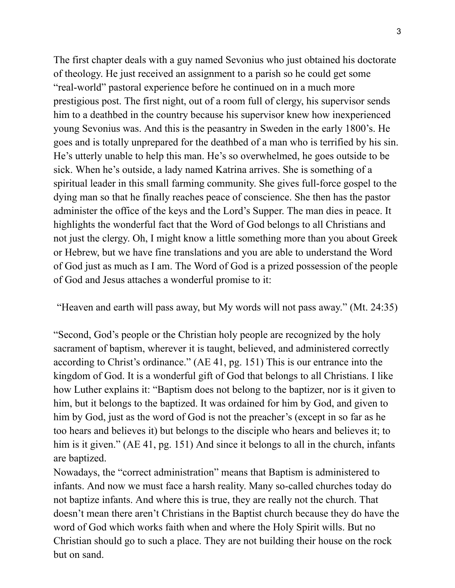The first chapter deals with a guy named Sevonius who just obtained his doctorate of theology. He just received an assignment to a parish so he could get some "real-world" pastoral experience before he continued on in a much more prestigious post. The first night, out of a room full of clergy, his supervisor sends him to a deathbed in the country because his supervisor knew how inexperienced young Sevonius was. And this is the peasantry in Sweden in the early 1800's. He goes and is totally unprepared for the deathbed of a man who is terrified by his sin. He's utterly unable to help this man. He's so overwhelmed, he goes outside to be sick. When he's outside, a lady named Katrina arrives. She is something of a spiritual leader in this small farming community. She gives full-force gospel to the dying man so that he finally reaches peace of conscience. She then has the pastor administer the office of the keys and the Lord's Supper. The man dies in peace. It highlights the wonderful fact that the Word of God belongs to all Christians and not just the clergy. Oh, I might know a little something more than you about Greek or Hebrew, but we have fine translations and you are able to understand the Word of God just as much as I am. The Word of God is a prized possession of the people of God and Jesus attaches a wonderful promise to it:

"Heaven and earth will pass away, but My words will not pass away." (Mt. 24:35)

"Second, God's people or the Christian holy people are recognized by the holy sacrament of baptism, wherever it is taught, believed, and administered correctly according to Christ's ordinance." (AE 41, pg. 151) This is our entrance into the kingdom of God. It is a wonderful gift of God that belongs to all Christians. I like how Luther explains it: "Baptism does not belong to the baptizer, nor is it given to him, but it belongs to the baptized. It was ordained for him by God, and given to him by God, just as the word of God is not the preacher's (except in so far as he too hears and believes it) but belongs to the disciple who hears and believes it; to him is it given." (AE 41, pg. 151) And since it belongs to all in the church, infants are baptized.

Nowadays, the "correct administration" means that Baptism is administered to infants. And now we must face a harsh reality. Many so-called churches today do not baptize infants. And where this is true, they are really not the church. That doesn't mean there aren't Christians in the Baptist church because they do have the word of God which works faith when and where the Holy Spirit wills. But no Christian should go to such a place. They are not building their house on the rock but on sand.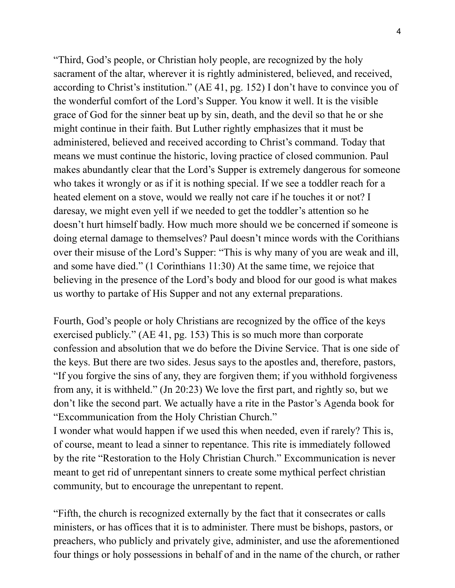"Third, God's people, or Christian holy people, are recognized by the holy sacrament of the altar, wherever it is rightly administered, believed, and received, according to Christ's institution." (AE 41, pg. 152) I don't have to convince you of the wonderful comfort of the Lord's Supper. You know it well. It is the visible grace of God for the sinner beat up by sin, death, and the devil so that he or she might continue in their faith. But Luther rightly emphasizes that it must be administered, believed and received according to Christ's command. Today that means we must continue the historic, loving practice of closed communion. Paul makes abundantly clear that the Lord's Supper is extremely dangerous for someone who takes it wrongly or as if it is nothing special. If we see a toddler reach for a heated element on a stove, would we really not care if he touches it or not? I daresay, we might even yell if we needed to get the toddler's attention so he doesn't hurt himself badly. How much more should we be concerned if someone is doing eternal damage to themselves? Paul doesn't mince words with the Corithians over their misuse of the Lord's Supper: "This is why many of you are weak and ill, and some have died." (1 Corinthians 11:30) At the same time, we rejoice that believing in the presence of the Lord's body and blood for our good is what makes us worthy to partake of His Supper and not any external preparations.

Fourth, God's people or holy Christians are recognized by the office of the keys exercised publicly." (AE 41, pg. 153) This is so much more than corporate confession and absolution that we do before the Divine Service. That is one side of the keys. But there are two sides. Jesus says to the apostles and, therefore, pastors, "If you forgive the sins of any, they are forgiven them; if you withhold forgiveness from any, it is withheld." (Jn 20:23) We love the first part, and rightly so, but we don't like the second part. We actually have a rite in the Pastor's Agenda book for "Excommunication from the Holy Christian Church."

I wonder what would happen if we used this when needed, even if rarely? This is, of course, meant to lead a sinner to repentance. This rite is immediately followed by the rite "Restoration to the Holy Christian Church." Excommunication is never meant to get rid of unrepentant sinners to create some mythical perfect christian community, but to encourage the unrepentant to repent.

"Fifth, the church is recognized externally by the fact that it consecrates or calls ministers, or has offices that it is to administer. There must be bishops, pastors, or preachers, who publicly and privately give, administer, and use the aforementioned four things or holy possessions in behalf of and in the name of the church, or rather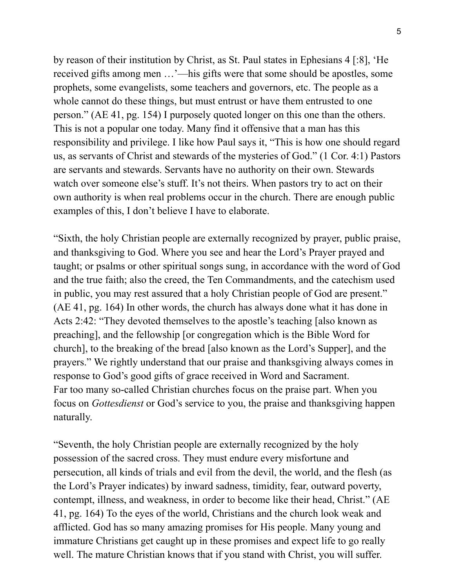by reason of their institution by Christ, as St. Paul states in Ephesians 4 [:8], 'He received gifts among men …'—his gifts were that some should be apostles, some prophets, some evangelists, some teachers and governors, etc. The people as a whole cannot do these things, but must entrust or have them entrusted to one person." (AE 41, pg. 154) I purposely quoted longer on this one than the others. This is not a popular one today. Many find it offensive that a man has this responsibility and privilege. I like how Paul says it, "This is how one should regard us, as servants of Christ and stewards of the mysteries of God." (1 Cor. 4:1) Pastors are servants and stewards. Servants have no authority on their own. Stewards watch over someone else's stuff. It's not theirs. When pastors try to act on their own authority is when real problems occur in the church. There are enough public examples of this, I don't believe I have to elaborate.

"Sixth, the holy Christian people are externally recognized by prayer, public praise, and thanksgiving to God. Where you see and hear the Lord's Prayer prayed and taught; or psalms or other spiritual songs sung, in accordance with the word of God and the true faith; also the creed, the Ten Commandments, and the catechism used in public, you may rest assured that a holy Christian people of God are present." (AE 41, pg. 164) In other words, the church has always done what it has done in Acts 2:42: "They devoted themselves to the apostle's teaching [also known as preaching], and the fellowship [or congregation which is the Bible Word for church], to the breaking of the bread [also known as the Lord's Supper], and the prayers." We rightly understand that our praise and thanksgiving always comes in response to God's good gifts of grace received in Word and Sacrament. Far too many so-called Christian churches focus on the praise part. When you focus on *Gottesdienst* or God's service to you, the praise and thanksgiving happen naturally.

"Seventh, the holy Christian people are externally recognized by the holy possession of the sacred cross. They must endure every misfortune and persecution, all kinds of trials and evil from the devil, the world, and the flesh (as the Lord's Prayer indicates) by inward sadness, timidity, fear, outward poverty, contempt, illness, and weakness, in order to become like their head, Christ." (AE 41, pg. 164) To the eyes of the world, Christians and the church look weak and afflicted. God has so many amazing promises for His people. Many young and immature Christians get caught up in these promises and expect life to go really well. The mature Christian knows that if you stand with Christ, you will suffer.